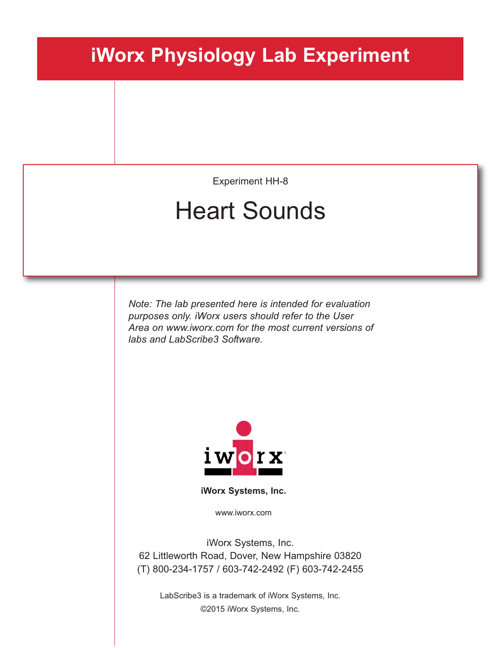## **iWorx Physiology Lab Experiment**

Experiment HH-8

# Heart Sounds

*Note: The lab presented here is intended for evaluation purposes only. iWorx users should refer to the User Area on www.iworx.com for the most current versions of labs and LabScribe3 Software.*



**iWorx Systems, Inc.**

www.iworx.com

iWorx Systems, Inc. 62 Littleworth Road, Dover, New Hampshire 03820 (T) 800-234-1757 / 603-742-2492 (F) 603-742-2455

LabScribe3 is a trademark of iWorx Systems, Inc. ©2015 iWorx Systems, Inc.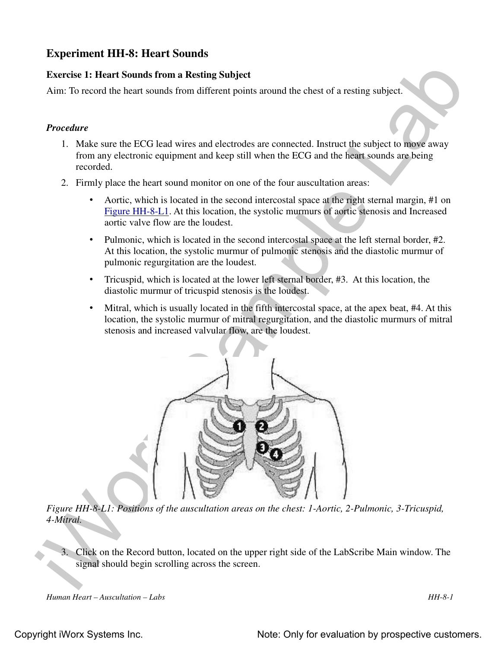### **Experiment HH-8: Heart Sounds**

#### **Exercise 1: Heart Sounds from a Resting Subject**

Aim: To record the heart sounds from different points around the chest of a resting subject.

#### *Procedure*

- 1. Make sure the ECG lead wires and electrodes are connected. Instruct the subject to move away from any electronic equipment and keep still when the ECG and the heart sounds are being recorded.
- 2. Firmly place the heart sound monitor on one of the four auscultation areas:
	- Aortic, which is located in the second intercostal space at the right sternal margin, #1 on Figure HH-8-L1. At this location, the systolic murmurs of aortic stenosis and Increased aortic valve flow are the loudest.
	- Pulmonic, which is located in the second intercostal space at the left sternal border, #2. At this location, the systolic murmur of pulmonic stenosis and the diastolic murmur of pulmonic regurgitation are the loudest.
	- Tricuspid, which is located at the lower left sternal border, #3. At this location, the diastolic murmur of tricuspid stenosis is the loudest.
	- Mitral, which is usually located in the fifth intercostal space, at the apex beat, #4. At this location, the systolic murmur of mitral regurgitation, and the diastolic murmurs of mitral stenosis and increased valvular flow, are the loudest.



*Figure HH-8-L1: Positions of the auscultation areas on the chest: 1-Aortic, 2-Pulmonic, 3-Tricuspid, 4-Mitral.*

3. Click on the Record button, located on the upper right side of the LabScribe Main window. The signal should begin scrolling across the screen.

*Human Heart – Auscultation – Labs HH-8-1*

Copyright iWorx Systems Inc. The Copyright iWorx Systems Inc. Note: Only for evaluation by prospective customers.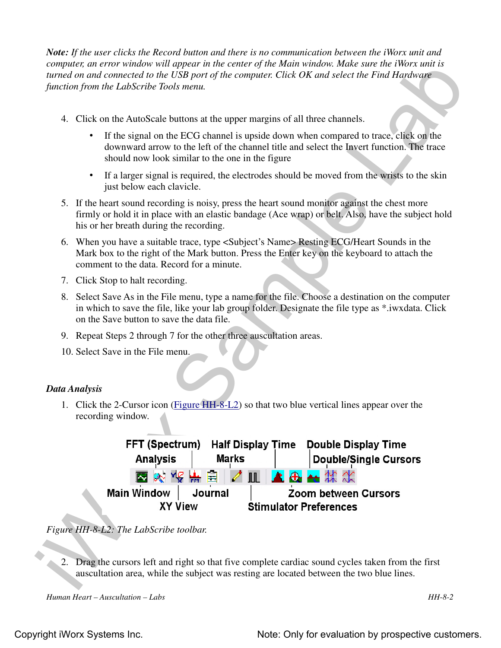*Note: If the user clicks the Record button and there is no communication between the iWorx unit and computer, an error window will appear in the center of the Main window. Make sure the iWorx unit is turned on and connected to the USB port of the computer. Click OK and select the Find Hardware function from the LabScribe Tools menu.* 

- 4. Click on the AutoScale buttons at the upper margins of all three channels.
	- If the signal on the ECG channel is upside down when compared to trace, click on the downward arrow to the left of the channel title and select the Invert function. The trace should now look similar to the one in the figure
	- If a larger signal is required, the electrodes should be moved from the wrists to the skin just below each clavicle.
- 5. If the heart sound recording is noisy, press the heart sound monitor against the chest more firmly or hold it in place with an elastic bandage (Ace wrap) or belt. Also, have the subject hold his or her breath during the recording.
- 6. When you have a suitable trace, type <Subject's Name> Resting ECG/Heart Sounds in the Mark box to the right of the Mark button. Press the Enter key on the keyboard to attach the comment to the data. Record for a minute.
- 7. Click Stop to halt recording.
- 8. Select Save As in the File menu, type a name for the file. Choose a destination on the computer in which to save the file, like your lab group folder. Designate the file type as \*.iwxdata. Click on the Save button to save the data file.
- 9. Repeat Steps 2 through 7 for the other three auscultation areas.
- 10. Select Save in the File menu.

#### *Data Analysis*

|    | computer, an error window will appear in the center of the Main window. Make sure the iWorx unit is<br>turned on and connected to the USB port of the computer. Click OK and select the Find Hardware<br>function from the LabScribe Tools menu.      |
|----|-------------------------------------------------------------------------------------------------------------------------------------------------------------------------------------------------------------------------------------------------------|
|    | 4. Click on the AutoScale buttons at the upper margins of all three channels.                                                                                                                                                                         |
|    | If the signal on the ECG channel is upside down when compared to trace, click on the<br>$\bullet$<br>downward arrow to the left of the channel title and select the Invert function. The trace<br>should now look similar to the one in the figure    |
|    | If a larger signal is required, the electrodes should be moved from the wrists to the skin<br>$\bullet$<br>just below each clavicle.                                                                                                                  |
|    | 5. If the heart sound recording is noisy, press the heart sound monitor against the chest more<br>firmly or hold it in place with an elastic bandage (Ace wrap) or belt. Also, have the subject hold<br>his or her breath during the recording.       |
|    | 6. When you have a suitable trace, type <subject's name=""> Resting ECG/Heart Sounds in the<br/>Mark box to the right of the Mark button. Press the Enter key on the keyboard to attach the<br/>comment to the data. Record for a minute.</subject's> |
|    | 7. Click Stop to halt recording.                                                                                                                                                                                                                      |
| 8. | Select Save As in the File menu, type a name for the file. Choose a destination on the computer<br>in which to save the file, like your lab group folder. Designate the file type as *.iwxdata. Click<br>on the Save button to save the data file.    |
|    | 9. Repeat Steps 2 through 7 for the other three auscultation areas.                                                                                                                                                                                   |
|    | 10. Select Save in the File menu.                                                                                                                                                                                                                     |
|    | Data Analysis                                                                                                                                                                                                                                         |
|    | 1. Click the 2-Cursor icon (Figure HH-8-L2) so that two blue vertical lines appear over the<br>recording window.                                                                                                                                      |
|    | FFT (Spectrum) Half Display Time<br><b>Double Display Time</b>                                                                                                                                                                                        |
|    | <b>Marks</b><br><b>Analysis</b><br><b>Double/Single Cursors</b>                                                                                                                                                                                       |
|    | 人士<br>₩₩<br>⊠ ⋉ પ્? ₩<br>M.<br>昌                                                                                                                                                                                                                      |
|    | <b>Main Window</b><br>Journal<br>Zoom between Cursors                                                                                                                                                                                                 |
|    | <b>XY View</b><br><b>Stimulator Preferences</b>                                                                                                                                                                                                       |
|    | Figure HH-8-L2: The LabScribe toolbar.                                                                                                                                                                                                                |
|    |                                                                                                                                                                                                                                                       |
| 2. | Drag the cursors left and right so that five complete cardiac sound cycles taken from the first<br>auscultation area, while the subject was resting are located between the two blue lines.                                                           |

*Figure HH-8-L2: The LabScribe toolbar.*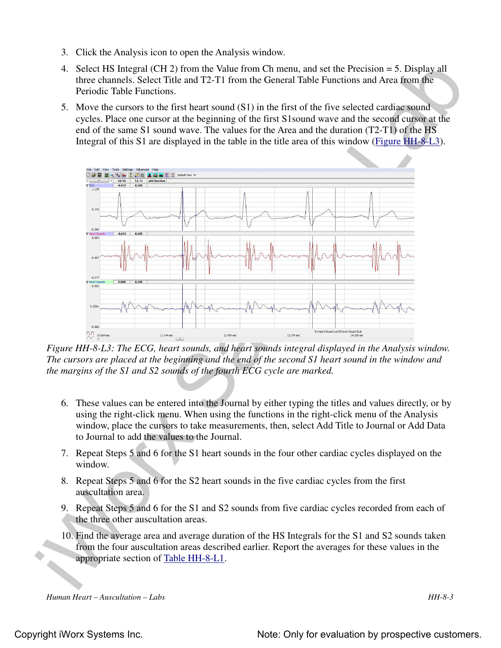- 3. Click the Analysis icon to open the Analysis window.
- 4. Select HS Integral (CH 2) from the Value from Ch menu, and set the Precision = 5. Display all three channels. Select Title and T2-T1 from the General Table Functions and Area from the Periodic Table Functions.
- 5. Move the cursors to the first heart sound (S1) in the first of the five selected cardiac sound cycles. Place one cursor at the beginning of the first S1sound wave and the second cursor at the end of the same S1 sound wave. The values for the Area and the duration (T2-T1) of the HS Integral of this S1 are displayed in the table in the title area of this window (Figure HH-8-L3).



*Figure HH-8-L3: The ECG, heart sounds, and heart sounds integral displayed in the Analysis window. The cursors are placed at the beginning and the end of the second S1 heart sound in the window and the margins of the S1 and S2 sounds of the fourth ECG cycle are marked.*

- 6. These values can be entered into the Journal by either typing the titles and values directly, or by using the right-click menu. When using the functions in the right-click menu of the Analysis window, place the cursors to take measurements, then, select Add Title to Journal or Add Data to Journal to add the values to the Journal.
- 7. Repeat Steps 5 and 6 for the S1 heart sounds in the four other cardiac cycles displayed on the window.
- 8. Repeat Steps 5 and 6 for the S2 heart sounds in the five cardiac cycles from the first auscultation area.
- 9. Repeat Steps 5 and 6 for the S1 and S2 sounds from five cardiac cycles recorded from each of the three other auscultation areas.
- 10. Find the average area and average duration of the HS Integrals for the S1 and S2 sounds taken from the four auscultation areas described earlier. Report the averages for these values in the appropriate section of Table HH-8-L1.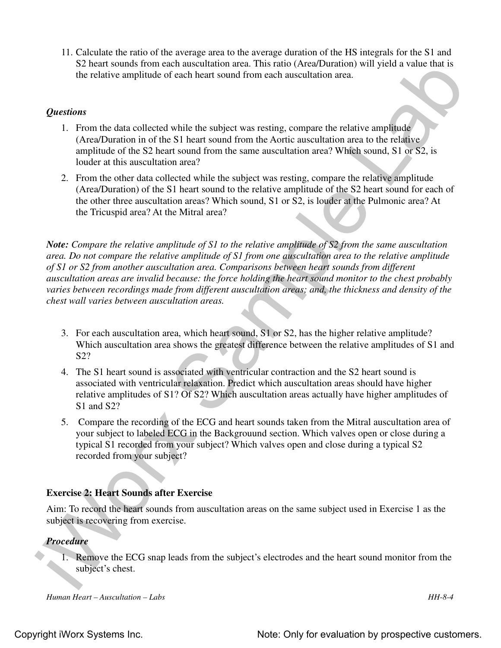11. Calculate the ratio of the average area to the average duration of the HS integrals for the S1 and S2 heart sounds from each auscultation area. This ratio (Area/Duration) will yield a value that is the relative amplitude of each heart sound from each auscultation area.

#### *Questions*

- 1. From the data collected while the subject was resting, compare the relative amplitude (Area/Duration in of the S1 heart sound from the Aortic auscultation area to the relative amplitude of the S2 heart sound from the same auscultation area? Which sound, S1 or S2, is louder at this auscultation area?
- 2. From the other data collected while the subject was resting, compare the relative amplitude (Area/Duration) of the S1 heart sound to the relative amplitude of the S2 heart sound for each of the other three auscultation areas? Which sound, S1 or S2, is louder at the Pulmonic area? At the Tricuspid area? At the Mitral area?

S), heart sounds from each annualitation area. This ratio (Avea/Duration) will yield a value that is<br>
dute relation emplitude of each heat sound from each ansulation area.<br> **Questions**<br> **Duteriors**<br> **CAREDURE CONTIFY AND** *Note: Compare the relative amplitude of S1 to the relative amplitude of S2 from the same auscultation area. Do not compare the relative amplitude of S1 from one auscultation area to the relative amplitude of S1 or S2 from another auscultation area. Comparisons between heart sounds from different auscultation areas are invalid because: the force holding the heart sound monitor to the chest probably varies between recordings made from different auscultation areas; and, the thickness and density of the chest wall varies between auscultation areas.*

- 3. For each auscultation area, which heart sound, S1 or S2, has the higher relative amplitude? Which auscultation area shows the greatest difference between the relative amplitudes of S1 and S2?
- 4. The S1 heart sound is associated with ventricular contraction and the S2 heart sound is associated with ventricular relaxation. Predict which auscultation areas should have higher relative amplitudes of S1? Of S2? Which auscultation areas actually have higher amplitudes of S1 and S2?
- 5. Compare the recording of the ECG and heart sounds taken from the Mitral auscultation area of your subject to labeled ECG in the Backgrouund section. Which valves open or close during a typical S1 recorded from your subject? Which valves open and close during a typical S2 recorded from your subject?

#### **Exercise 2: Heart Sounds after Exercise**

Aim: To record the heart sounds from auscultation areas on the same subject used in Exercise 1 as the subject is recovering from exercise.

#### *Procedure*

1. Remove the ECG snap leads from the subject's electrodes and the heart sound monitor from the subject's chest.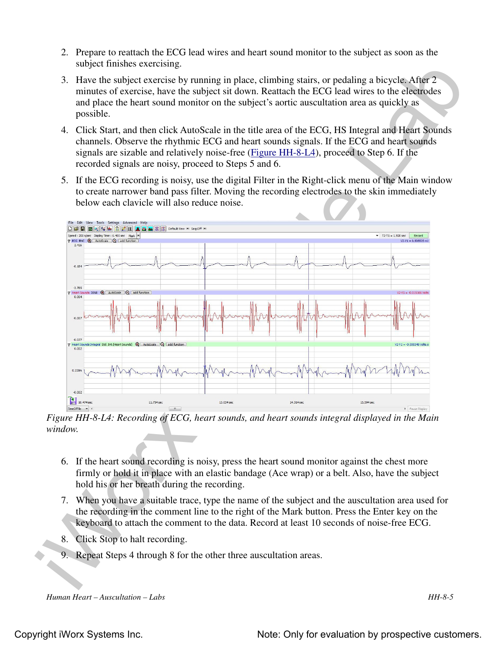- 2. Prepare to reattach the ECG lead wires and heart sound monitor to the subject as soon as the subject finishes exercising.
- 3. Have the subject exercise by running in place, climbing stairs, or pedaling a bicycle. After 2 minutes of exercise, have the subject sit down. Reattach the ECG lead wires to the electrodes and place the heart sound monitor on the subject's aortic auscultation area as quickly as possible.
- 4. Click Start, and then click AutoScale in the title area of the ECG, HS Integral and Heart Sounds channels. Observe the rhythmic ECG and heart sounds signals. If the ECG and heart sounds signals are sizable and relatively noise-free (Figure HH-8-L4), proceed to Step 6. If the recorded signals are noisy, proceed to Steps 5 and 6.
- 5. If the ECG recording is noisy, use the digital Filter in the Right-click menu of the Main window to create narrower band pass filter. Moving the recording electrodes to the skin immediately below each clavicle will also reduce noise.



*Figure HH-8-L4: Recording of ECG, heart sounds, and heart sounds integral displayed in the Main window.*

- 6. If the heart sound recording is noisy, press the heart sound monitor against the chest more firmly or hold it in place with an elastic bandage (Ace wrap) or a belt. Also, have the subject hold his or her breath during the recording.
- 7. When you have a suitable trace, type the name of the subject and the auscultation area used for the recording in the comment line to the right of the Mark button. Press the Enter key on the keyboard to attach the comment to the data. Record at least 10 seconds of noise-free ECG.
- 8. Click Stop to halt recording.
- 9. Repeat Steps 4 through 8 for the other three auscultation areas.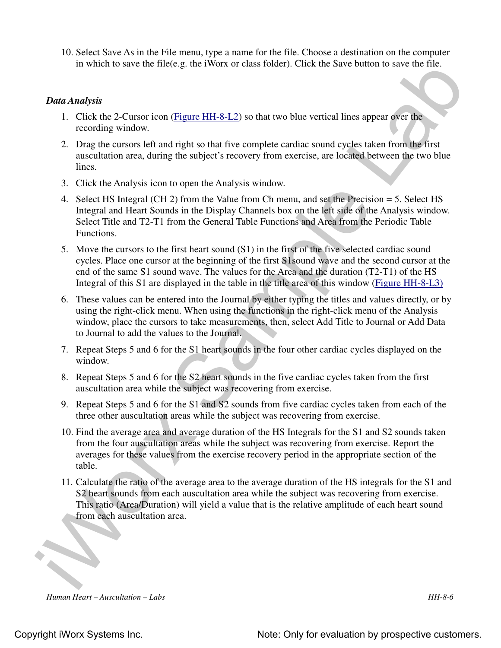10. Select Save As in the File menu, type a name for the file. Choose a destination on the computer in which to save the file(e.g. the iWorx or class folder). Click the Save button to save the file.

#### *Data Analysis*

- 1. Click the 2-Cursor icon (Figure HH-8-L2) so that two blue vertical lines appear over the recording window.
- 2. Drag the cursors left and right so that five complete cardiac sound cycles taken from the first auscultation area, during the subject's recovery from exercise, are located between the two blue lines.
- 3. Click the Analysis icon to open the Analysis window.
- 4. Select HS Integral (CH 2) from the Value from Ch menu, and set the Precision = 5. Select HS Integral and Heart Sounds in the Display Channels box on the left side of the Analysis window. Select Title and T2-T1 from the General Table Functions and Area from the Periodic Table Functions.
- 5. Move the cursors to the first heart sound (S1) in the first of the five selected cardiac sound cycles. Place one cursor at the beginning of the first S1sound wave and the second cursor at the end of the same S1 sound wave. The values for the Area and the duration (T2-T1) of the HS Integral of this S1 are displayed in the table in the title area of this window (Figure HH-8-L3)
- 6. These values can be entered into the Journal by either typing the titles and values directly, or by using the right-click menu. When using the functions in the right-click menu of the Analysis window, place the cursors to take measurements, then, select Add Title to Journal or Add Data to Journal to add the values to the Journal.
- 7. Repeat Steps 5 and 6 for the S1 heart sounds in the four other cardiac cycles displayed on the window.
- 8. Repeat Steps 5 and 6 for the S2 heart sounds in the five cardiac cycles taken from the first auscultation area while the subject was recovering from exercise.
- 9. Repeat Steps 5 and 6 for the S1 and S2 sounds from five cardiac cycles taken from each of the three other auscultation areas while the subject was recovering from exercise.
- 10. Find the average area and average duration of the HS Integrals for the S1 and S2 sounds taken from the four auscultation areas while the subject was recovering from exercise. Report the averages for these values from the exercise recovery period in the appropriate section of the table.
- in which is save the fliete g, the iWorx or class folder). Click the Sive button to save the fliet<br>
Data Analysis<br>
1. Click the 2-Cursor icon (Higura HH-8-1.2) so that two blue vertical lines appear over the<br>
recording wi 11. Calculate the ratio of the average area to the average duration of the HS integrals for the S1 and S2 heart sounds from each auscultation area while the subject was recovering from exercise. This ratio (Area/Duration) will yield a value that is the relative amplitude of each heart sound from each auscultation area.

*Human Heart – Auscultation – Labs HH-8-6*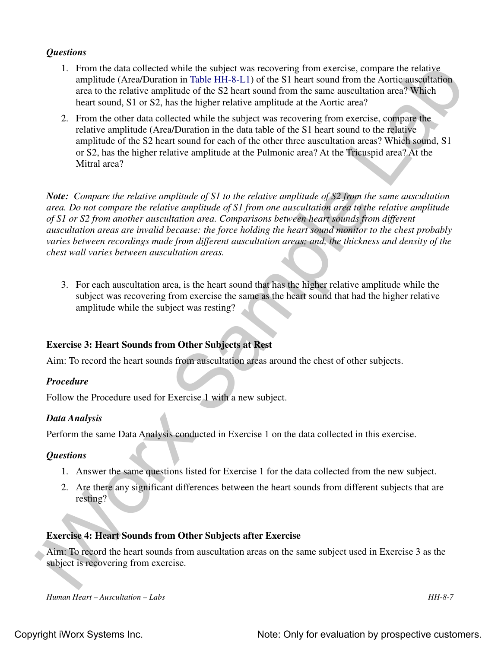#### *Questions*

- 1. From the data collected while the subject was recovering from exercise, compare the relative amplitude (Area/Duration in Table HH-8-L1) of the S1 heart sound from the Aortic auscultation area to the relative amplitude of the S2 heart sound from the same auscultation area? Which heart sound, S1 or S2, has the higher relative amplitude at the Aortic area?
- 2. From the other data collected while the subject was recovering from exercise, compare the relative amplitude (Area/Duration in the data table of the S1 heart sound to the relative amplitude of the S2 heart sound for each of the other three auscultation areas? Which sound, S1 or S2, has the higher relative amplitude at the Pulmonic area? At the Tricuspid area? At the Mitral area?

From that data collected within the subject was seconding town extracted in contribution and the collective and the stress of the stress of the stress of the SM (note that the stress of the SM (note that the stress of the *Note: Compare the relative amplitude of S1 to the relative amplitude of S2 from the same auscultation area. Do not compare the relative amplitude of S1 from one auscultation area to the relative amplitude of S1 or S2 from another auscultation area. Comparisons between heart sounds from different auscultation areas are invalid because: the force holding the heart sound monitor to the chest probably varies between recordings made from different auscultation areas; and, the thickness and density of the chest wall varies between auscultation areas.*

3. For each auscultation area, is the heart sound that has the higher relative amplitude while the subject was recovering from exercise the same as the heart sound that had the higher relative amplitude while the subject was resting?

#### **Exercise 3: Heart Sounds from Other Subjects at Rest**

Aim: To record the heart sounds from auscultation areas around the chest of other subjects.

#### *Procedure*

Follow the Procedure used for Exercise 1 with a new subject.

#### *Data Analysis*

Perform the same Data Analysis conducted in Exercise 1 on the data collected in this exercise.

#### *Questions*

- 1. Answer the same questions listed for Exercise 1 for the data collected from the new subject.
- 2. Are there any significant differences between the heart sounds from different subjects that are resting?

#### **Exercise 4: Heart Sounds from Other Subjects after Exercise**

Aim: To record the heart sounds from auscultation areas on the same subject used in Exercise 3 as the subject is recovering from exercise.

*Human Heart – Auscultation – Labs HH-8-7*

Copyright iWorx Systems Inc. The Copyright iWorx Systems Inc. Note: Only for evaluation by prospective customers.